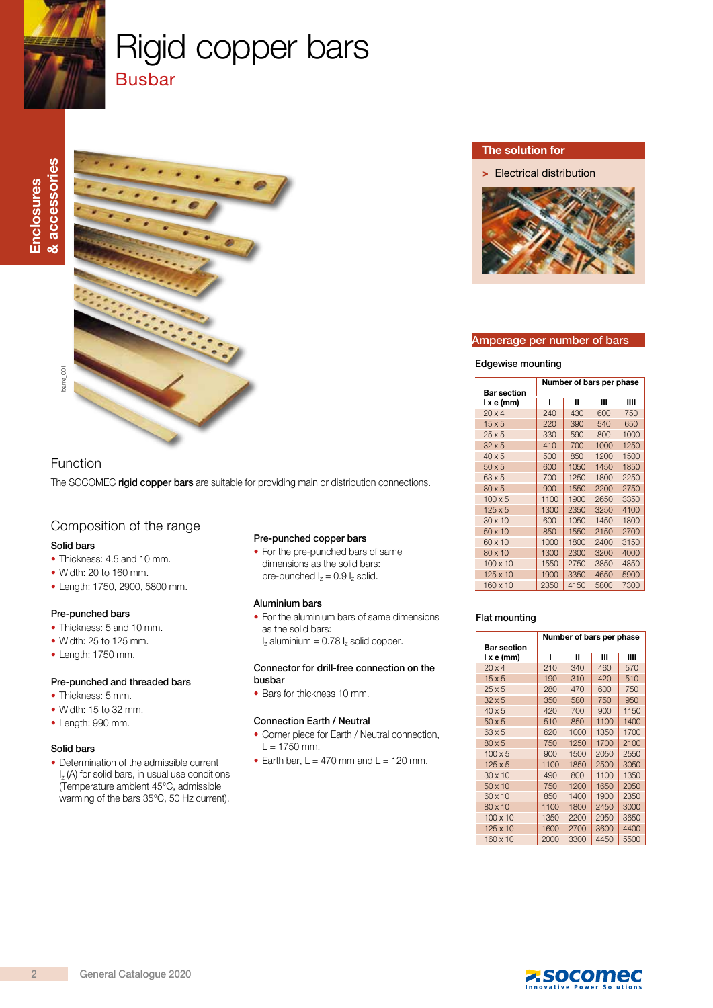

# Rigid copper bars **Busbar**



## Function

The SOCOMEC rigid copper bars are suitable for providing main or distribution connections.

# Composition of the range

#### Solid bars

- Thickness: 4.5 and 10 mm.
- Width: 20 to 160 mm.
- Length: 1750, 2900, 5800 mm.

#### Pre-punched bars

- Thickness: 5 and 10 mm.
- Width: 25 to 125 mm.
- Length: 1750 mm.

#### Pre-punched and threaded bars

- Thickness: 5 mm.
- Width: 15 to 32 mm.
- Length: 990 mm.

#### Solid bars

• Determination of the admissible current  $I_z$  (A) for solid bars, in usual use conditions (Temperature ambient 45°C, admissible warming of the bars 35°C, 50 Hz current).

#### Pre-punched copper bars

• For the pre-punched bars of same dimensions as the solid bars: pre-punched  $I_z = 0.9 I_z$  solid.

#### Aluminium bars

- For the aluminium bars of same dimensions as the solid bars:
	- $I_z$  aluminium = 0.78  $I_z$  solid copper.

#### Connector for drill-free connection on the busbar

• Bars for thickness 10 mm.

#### Connection Earth / Neutral

- Corner piece for Earth / Neutral connection,  $L = 1750$  mm.
- Earth bar,  $L = 470$  mm and  $L = 120$  mm.

#### The solution for

> Electrical distribution



#### Amperage per number of bars

#### Edgewise mounting

|                 | Number of bars per phase |      |      |      |  |
|-----------------|--------------------------|------|------|------|--|
| Bar section     |                          |      |      |      |  |
| lxe(mm)         |                          | Ш    | Ш    | ш    |  |
| $20 \times 4$   | 240                      | 430  | 600  | 750  |  |
| $15 \times 5$   | 220                      | 390  | 540  | 650  |  |
| $25 \times 5$   | 330                      | 590  | 800  | 1000 |  |
| $32 \times 5$   | 410                      | 700  | 1000 | 1250 |  |
| $40 \times 5$   | 500                      | 850  | 1200 | 1500 |  |
| $50 \times 5$   | 600                      | 1050 | 1450 | 1850 |  |
| $63 \times 5$   | 700                      | 1250 | 1800 | 2250 |  |
| $80 \times 5$   | 900                      | 1550 | 2200 | 2750 |  |
| $100 \times 5$  | 1100                     | 1900 | 2650 | 3350 |  |
| $125 \times 5$  | 1300                     | 2350 | 3250 | 4100 |  |
| $30 \times 10$  | 600                      | 1050 | 1450 | 1800 |  |
| $50 \times 10$  | 850                      | 1550 | 2150 | 2700 |  |
| 60 x 10         | 1000                     | 1800 | 2400 | 3150 |  |
| $80 \times 10$  | 1300                     | 2300 | 3200 | 4000 |  |
| $100 \times 10$ | 1550                     | 2750 | 3850 | 4850 |  |
| $125 \times 10$ | 1900                     | 3350 | 4650 | 5900 |  |
| 160 x 10        | 2350                     | 4150 | 5800 | 7300 |  |

#### Flat mounting

| <b>Bar section</b> | Number of bars per phase |      |      |      |
|--------------------|--------------------------|------|------|------|
| lxe(mm)            |                          | Ш    | Ш    | ш    |
| $20 \times 4$      | 210                      | 340  | 460  | 570  |
| $15 \times 5$      | 190                      | 310  | 420  | 510  |
| $25 \times 5$      | 280                      | 470  | 600  | 750  |
| $32 \times 5$      | 350                      | 580  | 750  | 950  |
| $40 \times 5$      | 420                      | 700  | 900  | 1150 |
| $50 \times 5$      | 510                      | 850  | 1100 | 1400 |
| $63 \times 5$      | 620                      | 1000 | 1350 | 1700 |
| $80 \times 5$      | 750                      | 1250 | 1700 | 2100 |
| $100 \times 5$     | 900                      | 1500 | 2050 | 2550 |
| $125 \times 5$     | 1100                     | 1850 | 2500 | 3050 |
| $30 \times 10$     | 490                      | 800  | 1100 | 1350 |
| $50 \times 10$     | 750                      | 1200 | 1650 | 2050 |
| 60 x 10            | 850                      | 1400 | 1900 | 2350 |
| 80 x 10            | 1100                     | 1800 | 2450 | 3000 |
| $100 \times 10$    | 1350                     | 2200 | 2950 | 3650 |
| $125 \times 10$    | 1600                     | 2700 | 3600 | 4400 |
| 160 x 10           | 2000                     | 3300 | 4450 | 5500 |